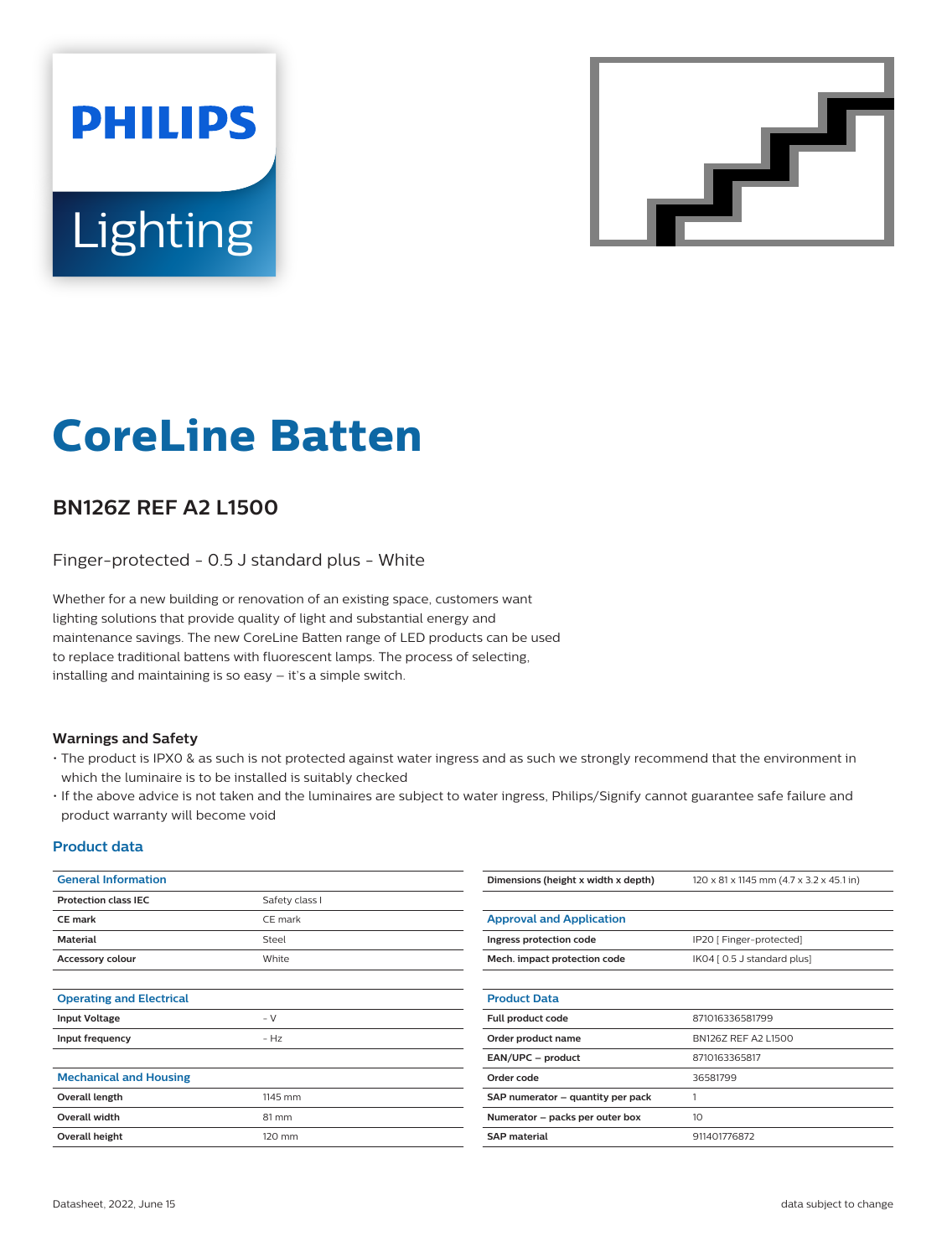# **PHILIPS** Lighting



# **CoreLine Batten**

## **BN126Z REF A2 L1500**

Finger-protected - 0.5 J standard plus - White

Whether for a new building or renovation of an existing space, customers want lighting solutions that provide quality of light and substantial energy and maintenance savings. The new CoreLine Batten range of LED products can be used to replace traditional battens with fluorescent lamps. The process of selecting, installing and maintaining is so easy – it's a simple switch.

#### **Warnings and Safety**

- The product is IPX0 & as such is not protected against water ingress and as such we strongly recommend that the environment in which the luminaire is to be installed is suitably checked
- If the above advice is not taken and the luminaires are subject to water ingress, Philips/Signify cannot guarantee safe failure and product warranty will become void

#### **Product data**

| <b>General Information</b>      |                | Dimensions (height x width x depth) | 120 x 81 x 1145 mm (4.7 x 3.2 x 45.1 in) |
|---------------------------------|----------------|-------------------------------------|------------------------------------------|
| <b>Protection class IEC</b>     | Safety class I |                                     |                                          |
| <b>CE</b> mark                  | CE mark        | <b>Approval and Application</b>     |                                          |
| Material                        | Steel          | Ingress protection code             | IP20 [ Finger-protected]                 |
| Accessory colour                | White          | Mech. impact protection code        | IK04 [ 0.5 J standard plus]              |
|                                 |                |                                     |                                          |
| <b>Operating and Electrical</b> |                | <b>Product Data</b>                 |                                          |
| <b>Input Voltage</b>            | $- V$          | Full product code                   | 871016336581799                          |
| Input frequency                 | $- Hz$         | Order product name                  | BN126Z REF A2 L1500                      |
|                                 |                | EAN/UPC - product                   | 8710163365817                            |
| <b>Mechanical and Housing</b>   |                | Order code                          | 36581799                                 |
| Overall length                  | 1145 mm        | SAP numerator - quantity per pack   |                                          |
| Overall width                   | 81 mm          | Numerator - packs per outer box     | 10                                       |
| Overall height                  | 120 mm         | <b>SAP</b> material                 | 911401776872                             |